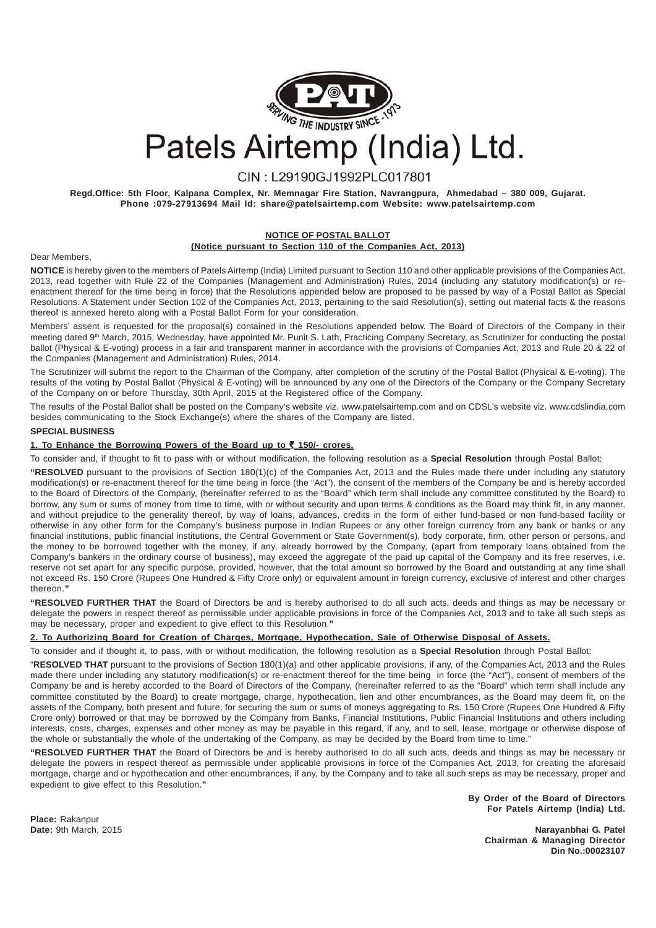

Patels Airtemp (India) Ltd.

# CIN: L29190GJ1992PLC017801

**Regd.Office: 5th Floor, Kalpana Complex, Nr. Memnagar Fire Station, Navrangpura, Ahmedabad – 380 009, Gujarat. Phone :079-27913694 Mail Id: share@patelsairtemp.com Website: www.patelsairtemp.com**

## **NOTICE OF POSTAL BALLOT (Notice pursuant to Section 110 of the Companies Act, 2013)**

#### Dear Members,

**NOTICE** is hereby given to the members of Patels Airtemp (India) Limited pursuant to Section 110 and other applicable provisions of the Companies Act, 2013, read together with Rule 22 of the Companies (Management and Administration) Rules, 2014 (including any statutory modification(s) or reenactment thereof for the time being in force) that the Resolutions appended below are proposed to be passed by way of a Postal Ballot as Special Resolutions. A Statement under Section 102 of the Companies Act, 2013, pertaining to the said Resolution(s), setting out material facts & the reasons thereof is annexed hereto along with a Postal Ballot Form for your consideration.

Members' assent is requested for the proposal(s) contained in the Resolutions appended below. The Board of Directors of the Company in their meeting dated 9<sup>th</sup> March, 2015, Wednesday, have appointed Mr. Punit S. Lath, Practicing Company Secretary, as Scrutinizer for conducting the postal ballot (Physical & E-voting) process in a fair and transparent manner in accordance with the provisions of Companies Act, 2013 and Rule 20 & 22 of the Companies (Management and Administration) Rules, 2014.

The Scrutinizer will submit the report to the Chairman of the Company, after completion of the scrutiny of the Postal Ballot (Physical & E-voting). The results of the voting by Postal Ballot (Physical & E-voting) will be announced by any one of the Directors of the Company or the Company Secretary of the Company on or before Thursday, 30th April, 2015 at the Registered office of the Company.

The results of the Postal Ballot shall be posted on the Company's website viz. www.patelsairtemp.com and on CDSL's website viz. www.cdslindia.com besides communicating to the Stock Exchange(s) where the shares of the Company are listed.

## **SPECIAL BUSINESS**

### **1. To Enhance the Borrowing Powers of the Board up to** ` **150/- crores.**

To consider and, if thought to fit to pass with or without modification, the following resolution as a **Special Resolution** through Postal Ballot:

**"RESOLVED** pursuant to the provisions of Section 180(1)(c) of the Companies Act, 2013 and the Rules made there under including any statutory modification(s) or re-enactment thereof for the time being in force (the "Act"), the consent of the members of the Company be and is hereby accorded to the Board of Directors of the Company, (hereinafter referred to as the "Board" which term shall include any committee constituted by the Board) to borrow, any sum or sums of money from time to time, with or without security and upon terms & conditions as the Board may think fit, in any manner, and without prejudice to the generality thereof, by way of loans, advances, credits in the form of either fund-based or non fund-based facility or otherwise in any other form for the Company's business purpose in Indian Rupees or any other foreign currency from any bank or banks or any financial institutions, public financial institutions, the Central Government or State Government(s), body corporate, firm, other person or persons, and the money to be borrowed together with the money, if any, already borrowed by the Company, (apart from temporary loans obtained from the Company's bankers in the ordinary course of business), may exceed the aggregate of the paid up capital of the Company and its free reserves, i.e. reserve not set apart for any specific purpose, provided, however, that the total amount so borrowed by the Board and outstanding at any time shall not exceed Rs. 150 Crore (Rupees One Hundred & Fifty Crore only) or equivalent amount in foreign currency, exclusive of interest and other charges thereon.**"**

**"RESOLVED FURTHER THAT** the Board of Directors be and is hereby authorised to do all such acts, deeds and things as may be necessary or delegate the powers in respect thereof as permissible under applicable provisions in force of the Companies Act, 2013 and to take all such steps as may be necessary, proper and expedient to give effect to this Resolution.**"**

## **2. To Authorizing Board for Creation of Charges, Mortgage, Hypothecation, Sale of Otherwise Disposal of Assets.**

To consider and if thought it, to pass, with or without modification, the following resolution as a **Special Resolution** through Postal Ballot: "**RESOLVED THAT** pursuant to the provisions of Section 180(1)(a) and other applicable provisions, if any, of the Companies Act, 2013 and the Rules made there under including any statutory modification(s) or re-enactment thereof for the time being in force (the "Act"), consent of members of the

Company be and is hereby accorded to the Board of Directors of the Company, (hereinafter referred to as the "Board" which term shall include any committee constituted by the Board) to create mortgage, charge, hypothecation, lien and other encumbrances, as the Board may deem fit, on the assets of the Company, both present and future, for securing the sum or sums of moneys aggregating to Rs. 150 Crore (Rupees One Hundred & Fifty Crore only) borrowed or that may be borrowed by the Company from Banks, Financial Institutions, Public Financial Institutions and others including interests, costs, charges, expenses and other money as may be payable in this regard, if any, and to sell, lease, mortgage or otherwise dispose of the whole or substantially the whole of the undertaking of the Company, as may be decided by the Board from time to time."

**"RESOLVED FURTHER THAT** the Board of Directors be and is hereby authorised to do all such acts, deeds and things as may be necessary or delegate the powers in respect thereof as permissible under applicable provisions in force of the Companies Act, 2013, for creating the aforesaid mortgage, charge and or hypothecation and other encumbrances, if any, by the Company and to take all such steps as may be necessary, proper and expedient to give effect to this Resolution.**"**

> **By Order of the Board of Directors For Patels Airtemp (India) Ltd.**

**Place:** Rakanpur

**Date:** 9th March, 2015 **Narayanbhai G. Patel Chairman & Managing Director Din No.:00023107**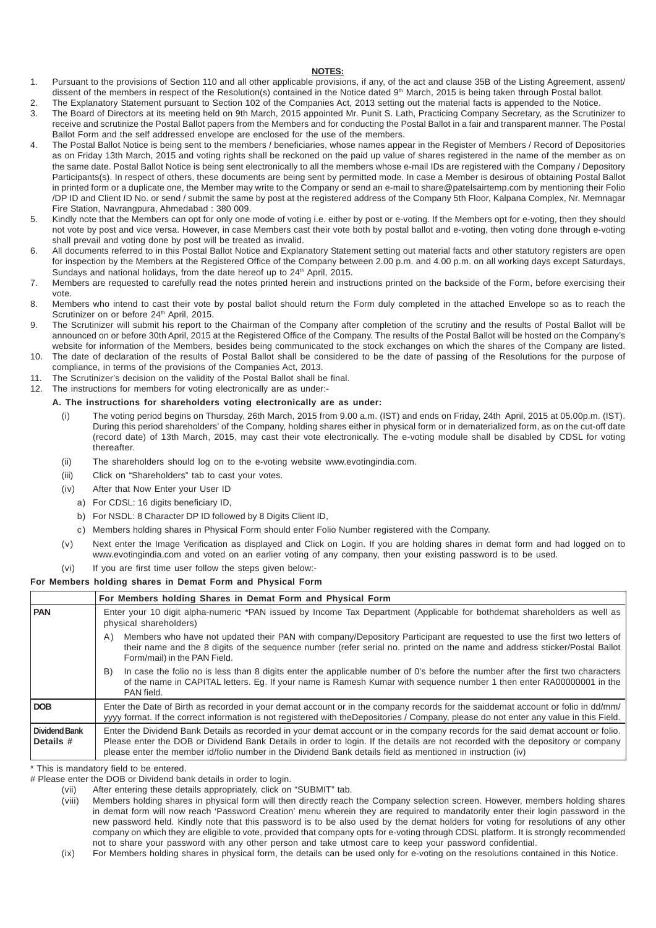#### **NOTES:**

- 1. Pursuant to the provisions of Section 110 and all other applicable provisions, if any, of the act and clause 35B of the Listing Agreement, assent/ dissent of the members in respect of the Resolution(s) contained in the Notice dated 9<sup>th</sup> March, 2015 is being taken through Postal ballot. 2. The Explanatory Statement pursuant to Section 102 of the Companies Act, 2013 setting out the material facts is appended to the Notice.
- 3. The Board of Directors at its meeting held on 9th March, 2015 appointed Mr. Punit S. Lath, Practicing Company Secretary, as the Scrutinizer to receive and scrutinize the Postal Ballot papers from the Members and for conducting the Postal Ballot in a fair and transparent manner. The Postal Ballot Form and the self addressed envelope are enclosed for the use of the members.
- 4. The Postal Ballot Notice is being sent to the members / beneficiaries, whose names appear in the Register of Members / Record of Depositories as on Friday 13th March, 2015 and voting rights shall be reckoned on the paid up value of shares registered in the name of the member as on the same date. Postal Ballot Notice is being sent electronically to all the members whose e-mail IDs are registered with the Company / Depository Participants(s). In respect of others, these documents are being sent by permitted mode. In case a Member is desirous of obtaining Postal Ballot in printed form or a duplicate one, the Member may write to the Company or send an e-mail to share@patelsairtemp.com by mentioning their Folio /DP ID and Client ID No. or send / submit the same by post at the registered address of the Company 5th Floor, Kalpana Complex, Nr. Memnagar Fire Station, Navrangpura, Ahmedabad : 380 009.
- 5. Kindly note that the Members can opt for only one mode of voting i.e. either by post or e-voting. If the Members opt for e-voting, then they should not vote by post and vice versa. However, in case Members cast their vote both by postal ballot and e-voting, then voting done through e-voting shall prevail and voting done by post will be treated as invalid.
- 6. All documents referred to in this Postal Ballot Notice and Explanatory Statement setting out material facts and other statutory registers are open for inspection by the Members at the Registered Office of the Company between 2.00 p.m. and 4.00 p.m. on all working days except Saturdays, Sundays and national holidays, from the date hereof up to 24<sup>th</sup> April, 2015.
- 7. Members are requested to carefully read the notes printed herein and instructions printed on the backside of the Form, before exercising their vote.
- 8. Members who intend to cast their vote by postal ballot should return the Form duly completed in the attached Envelope so as to reach the Scrutinizer on or before 24<sup>th</sup> April, 2015.
- 9. The Scrutinizer will submit his report to the Chairman of the Company after completion of the scrutiny and the results of Postal Ballot will be announced on or before 30th April, 2015 at the Registered Office of the Company. The results of the Postal Ballot will be hosted on the Company's website for information of the Members, besides being communicated to the stock exchanges on which the shares of the Company are listed.
- 10. The date of declaration of the results of Postal Ballot shall be considered to be the date of passing of the Resolutions for the purpose of compliance, in terms of the provisions of the Companies Act, 2013.
- 11. The Scrutinizer's decision on the validity of the Postal Ballot shall be final.
- 12. The instructions for members for voting electronically are as under:-

## **A. The instructions for shareholders voting electronically are as under:**

- (i) The voting period begins on Thursday, 26th March, 2015 from 9.00 a.m. (IST) and ends on Friday, 24th April, 2015 at 05.00p.m. (IST). During this period shareholders' of the Company, holding shares either in physical form or in dematerialized form, as on the cut-off date (record date) of 13th March, 2015, may cast their vote electronically. The e-voting module shall be disabled by CDSL for voting thereafter.
- (ii) The shareholders should log on to the e-voting website www.evotingindia.com.
- (iii) Click on "Shareholders" tab to cast your votes.
- (iv) After that Now Enter your User ID
	- a) For CDSL: 16 digits beneficiary ID,
	- b) For NSDL: 8 Character DP ID followed by 8 Digits Client ID,
	- c) Members holding shares in Physical Form should enter Folio Number registered with the Company.
- (v) Next enter the Image Verification as displayed and Click on Login. If you are holding shares in demat form and had logged on to www.evotingindia.com and voted on an earlier voting of any company, then your existing password is to be used.
- (vi) If you are first time user follow the steps given below:-

#### **For Members holding shares in Demat Form and Physical Form**

|                                   | For Members holding Shares in Demat Form and Physical Form                                                                                                                                                                                                                                                                                                                         |                                                                                                                                                                                                                                                                                        |  |
|-----------------------------------|------------------------------------------------------------------------------------------------------------------------------------------------------------------------------------------------------------------------------------------------------------------------------------------------------------------------------------------------------------------------------------|----------------------------------------------------------------------------------------------------------------------------------------------------------------------------------------------------------------------------------------------------------------------------------------|--|
| <b>PAN</b>                        |                                                                                                                                                                                                                                                                                                                                                                                    | Enter your 10 digit alpha-numeric *PAN issued by Income Tax Department (Applicable for bothdemat shareholders as well as<br>physical shareholders)                                                                                                                                     |  |
|                                   | (A)                                                                                                                                                                                                                                                                                                                                                                                | Members who have not updated their PAN with company/Depository Participant are requested to use the first two letters of<br>their name and the 8 digits of the sequence number (refer serial no. printed on the name and address sticker/Postal Ballot<br>Form/mail) in the PAN Field. |  |
|                                   | B)                                                                                                                                                                                                                                                                                                                                                                                 | In case the folio no is less than 8 digits enter the applicable number of 0's before the number after the first two characters<br>of the name in CAPITAL letters. Eq. If your name is Ramesh Kumar with sequence number 1 then enter RA00000001 in the<br>PAN field.                   |  |
| <b>DOB</b>                        | Enter the Date of Birth as recorded in your demat account or in the company records for the saiddemat account or folio in dd/mm/<br>yyyy format. If the correct information is not registered with the Depositories / Company, please do not enter any value in this Field.                                                                                                        |                                                                                                                                                                                                                                                                                        |  |
| <b>Dividend Bank</b><br>Details # | Enter the Dividend Bank Details as recorded in your demat account or in the company records for the said demat account or folio.<br>Please enter the DOB or Dividend Bank Details in order to login. If the details are not recorded with the depository or company<br>please enter the member id/folio number in the Dividend Bank details field as mentioned in instruction (iv) |                                                                                                                                                                                                                                                                                        |  |

\* This is mandatory field to be entered.

# Please enter the DOB or Dividend bank details in order to login.

- (vii) After entering these details appropriately, click on "SUBMIT" tab.
	- (viii) Members holding shares in physical form will then directly reach the Company selection screen. However, members holding shares in demat form will now reach 'Password Creation' menu wherein they are required to mandatorily enter their login password in the new password held. Kindly note that this password is to be also used by the demat holders for voting for resolutions of any other company on which they are eligible to vote, provided that company opts for e-voting through CDSL platform. It is strongly recommended not to share your password with any other person and take utmost care to keep your password confidential.

(ix) For Members holding shares in physical form, the details can be used only for e-voting on the resolutions contained in this Notice.